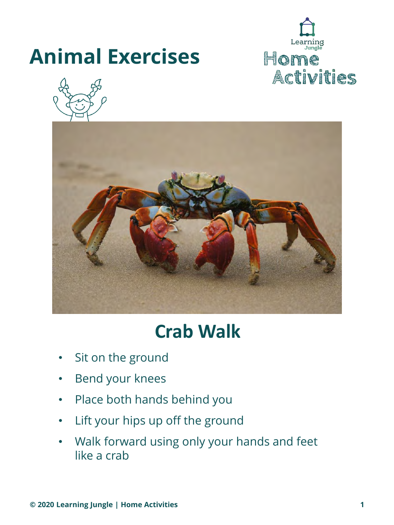





### **Crab Walk**

- Sit on the ground
- Bend your knees
- Place both hands behind you
- Lift your hips up off the ground
- Walk forward using only your hands and feet like a crab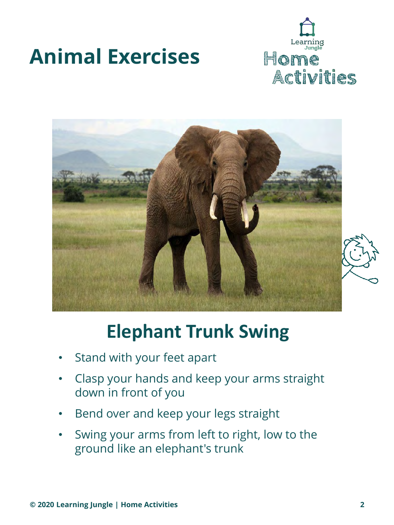





## **Elephant Trunk Swing**

- Stand with your feet apart
- Clasp your hands and keep your arms straight down in front of you
- Bend over and keep your legs straight
- Swing your arms from left to right, low to the ground like an elephant's trunk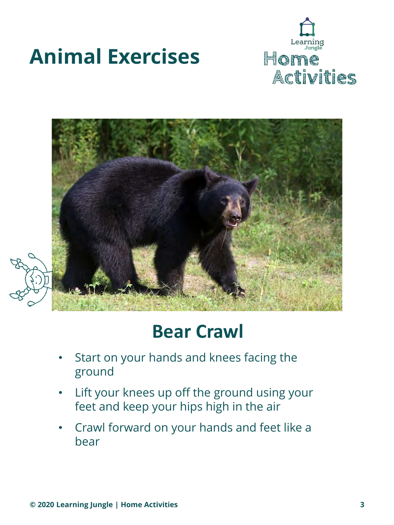





### **Bear Crawl**

- Start on your hands and knees facing the ground
- Lift your knees up off the ground using your feet and keep your hips high in the air
- Crawl forward on your hands and feet like a bear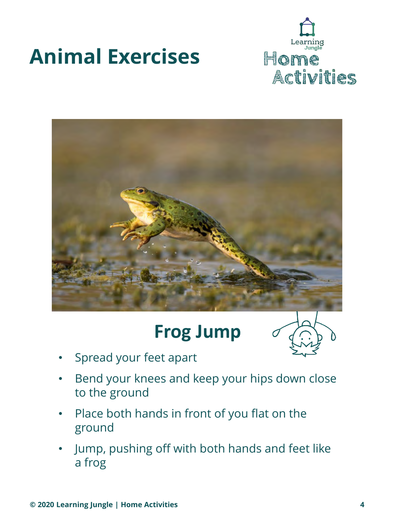



### **Frog Jump**



- Spread your feet apart
- Bend your knees and keep your hips down close to the ground
- Place both hands in front of you flat on the ground
- Jump, pushing off with both hands and feet like a frog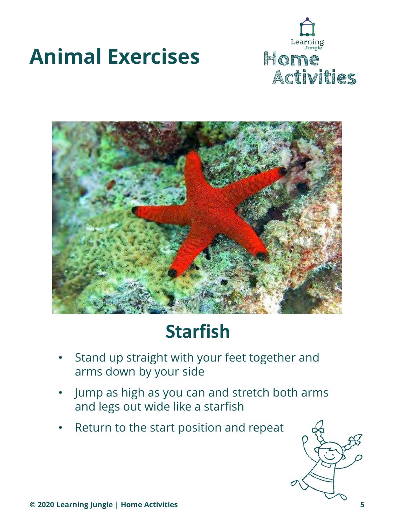





## **Starfish**

- Stand up straight with your feet together and arms down by your side
- Jump as high as you can and stretch both arms and legs out wide like a starfish
- Return to the start position and repeat

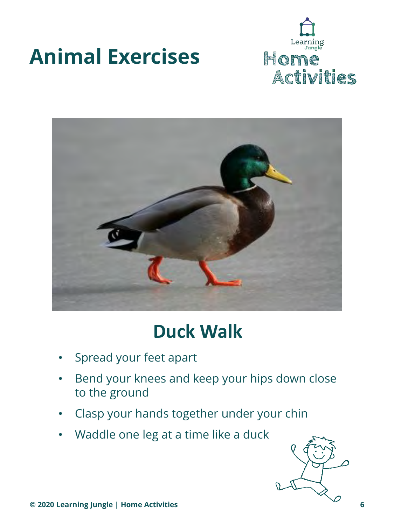



### **Duck Walk**

- Spread your feet apart
- Bend your knees and keep your hips down close to the ground
- Clasp your hands together under your chin
- Waddle one leg at a time like a duck

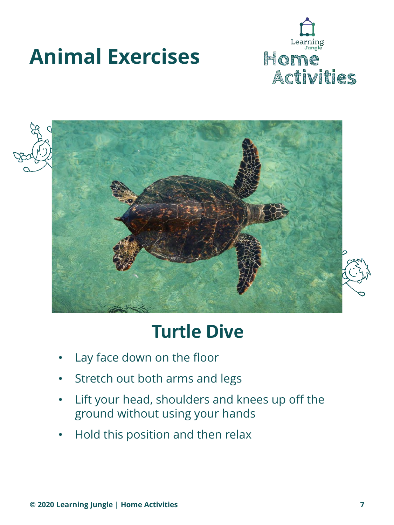





### **Turtle Dive**

- Lay face down on the floor
- Stretch out both arms and legs
- Lift your head, shoulders and knees up off the ground without using your hands
- Hold this position and then relax